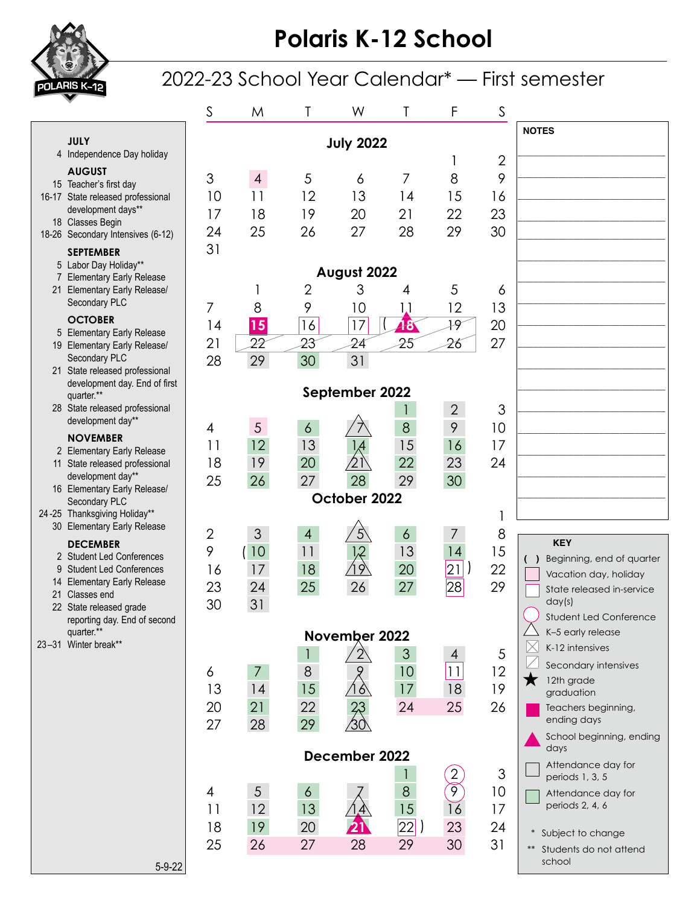

## **Polaris K-12 School**

## 2022-23 School Year Calendar\* — First semester

|                                                          |                                                     | S              | M              | T              | W                          |                 | F                          | S              |                                                           |
|----------------------------------------------------------|-----------------------------------------------------|----------------|----------------|----------------|----------------------------|-----------------|----------------------------|----------------|-----------------------------------------------------------|
| <b>JULY</b><br><b>July 2022</b>                          |                                                     |                |                |                |                            |                 |                            | <b>NOTES</b>   |                                                           |
|                                                          | 4 Independence Day holiday                          |                |                |                |                            |                 |                            | $\overline{2}$ |                                                           |
|                                                          | <b>AUGUST</b><br>15 Teacher's first day             | 3              | $\overline{4}$ | 5              | 6                          | 7               | 8                          | 9              |                                                           |
|                                                          | 16-17 State released professional                   | 10             | 11             | 12             | 13                         | 14              | 15                         | 16             |                                                           |
|                                                          | development days**                                  | 17             | 18             | 19             | 20                         | 21              | 22                         | 23             |                                                           |
|                                                          | 18 Classes Begin                                    | 24             | 25             | 26             | 27                         | 28              | 29                         | 30             |                                                           |
|                                                          | 18-26 Secondary Intensives (6-12)                   | 31             |                |                |                            |                 |                            |                |                                                           |
| <b>SEPTEMBER</b><br>5 Labor Day Holiday**<br>August 2022 |                                                     |                |                |                |                            |                 |                            |                |                                                           |
|                                                          | 7 Elementary Early Release                          |                |                | $\overline{2}$ | 3                          |                 | 5                          |                |                                                           |
|                                                          | 21 Elementary Early Release/<br>Secondary PLC       |                |                |                |                            | 4               |                            | 6              |                                                           |
|                                                          | <b>OCTOBER</b>                                      | $\overline{7}$ | 8              | 9              | 10                         | 1,1             | 12                         | 13             |                                                           |
|                                                          | 5 Elementary Early Release                          | 4              | 15             | 16             | 17                         | 48              | 19                         | 20             |                                                           |
|                                                          | 19 Elementary Early Release/                        | 21             | 22             | 23             | 24                         | 25              | 26                         | 27             |                                                           |
|                                                          | Secondary PLC<br>21 State released professional     | 28             | 29             | 30             | 31                         |                 |                            |                |                                                           |
|                                                          | development day. End of first                       |                |                |                |                            |                 |                            |                |                                                           |
|                                                          | September 2022<br>quarter.**                        |                |                |                |                            |                 |                            |                |                                                           |
|                                                          | 28 State released professional<br>development day** |                |                |                |                            |                 | $\overline{2}$             | 3              |                                                           |
|                                                          | <b>NOVEMBER</b>                                     | 4              | 5              | $\overline{6}$ |                            | 8               | 9                          | 10             |                                                           |
|                                                          | 2 Elementary Early Release                          | 11             | 12             | 13             |                            | 15              | 16                         | 17             |                                                           |
|                                                          | 11 State released professional                      | 18             | 19             | 20             | $\overleftrightarrow{2}$ 1 | 22              | 23                         | 24             |                                                           |
|                                                          | development day**<br>16 Elementary Early Release/   | 25             | 26             | 27             | 28                         | 29              | 30                         |                |                                                           |
|                                                          | Secondary PLC                                       | October 2022   |                |                |                            |                 |                            |                |                                                           |
|                                                          | 24-25 Thanksgiving Holiday**                        |                |                |                |                            |                 |                            |                |                                                           |
|                                                          | 30 Elementary Early Release                         | $\overline{2}$ | 3              | $\overline{4}$ | $\sqrt{5}$                 | $\ddot{\circ}$  | 7                          | 8              |                                                           |
|                                                          | <b>DECEMBER</b><br>2 Student Led Conferences        | 9              | 10             | 11             |                            | 13              | 14                         | 15             | <b>KEY</b>                                                |
|                                                          | 9 Student Led Conferences                           | 16             | 17             | 18             | 19                         | 20              | $\overline{21}$            | 22             | Beginning, end of quarter<br>( )<br>Vacation day, holiday |
|                                                          | 14 Elementary Early Release                         | 23             | 24             | 25             | 26                         | 27              | 28                         | 29             | State released in-service                                 |
|                                                          | 21 Classes end<br>22 State released grade           | 30             | 31             |                |                            |                 |                            |                | day(s)                                                    |
|                                                          | reporting day. End of second                        |                |                |                |                            |                 |                            |                | Student Led Conference                                    |
|                                                          | quarter.**<br>November 2022                         |                |                |                |                            |                 |                            |                | K-5 early release                                         |
|                                                          | 23-31 Winter break**                                |                |                |                | $2^{\circ}$                | 3               | 4                          | 5              | K-12 intensives                                           |
|                                                          |                                                     | 6              | $\overline{7}$ | 8              |                            | 10 <sup>°</sup> | 11                         | 12             | Secondary intensives                                      |
|                                                          |                                                     | 13             | 14             | 15             | 16                         | 17              | 18                         | 19             | 12th grade<br>$\blacksquare$<br>graduation                |
|                                                          |                                                     | 20             | 21             | 22             |                            | 24              | 25                         | 26             | Teachers beginning,                                       |
|                                                          |                                                     | 27             | 28             | 29             | $\frac{23}{30}$            |                 |                            |                | ending days                                               |
|                                                          |                                                     |                |                |                |                            |                 |                            |                | School beginning, ending                                  |
| December 2022                                            |                                                     |                |                |                |                            |                 | days<br>Attendance day for |                |                                                           |
|                                                          |                                                     |                |                |                |                            |                 | 2                          | 3              | periods 1, 3, 5                                           |
|                                                          |                                                     | 4              | 5              | $\overline{6}$ |                            | 8               | 9                          | 10             | Attendance day for                                        |
|                                                          |                                                     | 11             | 12             | 13             |                            | 15              | 16                         | 17             | periods 2, 4, 6                                           |
|                                                          |                                                     | 18             | 19             | 20             |                            | 22              | 23                         | 24             |                                                           |
|                                                          |                                                     | 25             | 26             | 27             | 28                         | 29              | 30                         | 31             | * Subject to change<br>Students do not attend<br>$***$    |
|                                                          | $5 - 9 - 22$                                        |                |                |                |                            |                 |                            |                | school                                                    |